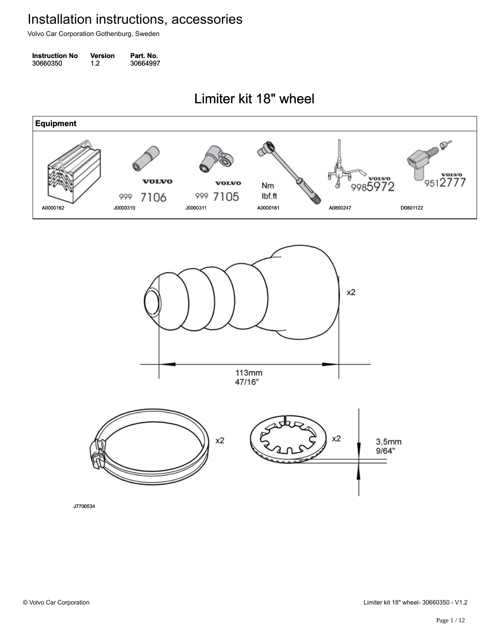Volvo Car Corporation Gothenburg, Sweden

| <b>Instruction No</b> | Version | Part. No. |
|-----------------------|---------|-----------|
| 30660350              | 1.2     | 30664997  |

Limiter kit 18" wheel Limiter kit 18" wheel

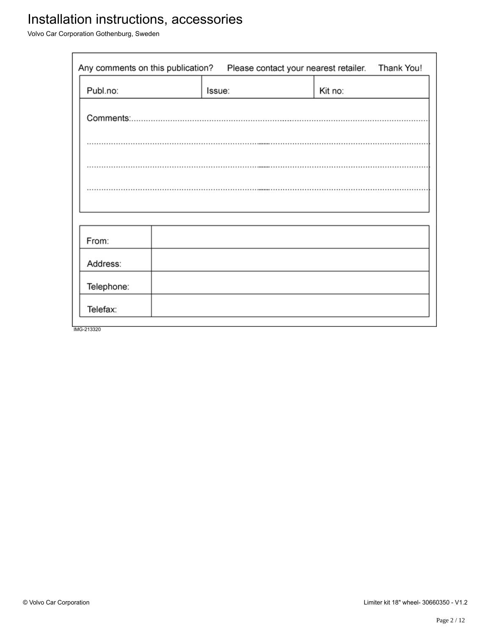Volvo Car Corporation Gothenburg, Sweden

| Any comments on this publication?<br>Thank You!<br>Please contact your nearest retailer. |  |        |         |  |
|------------------------------------------------------------------------------------------|--|--------|---------|--|
| Publ.no:                                                                                 |  | Issue: | Kit no: |  |
|                                                                                          |  |        |         |  |
|                                                                                          |  |        |         |  |
|                                                                                          |  |        |         |  |
|                                                                                          |  |        |         |  |
|                                                                                          |  |        |         |  |
| From:                                                                                    |  |        |         |  |
| Address:                                                                                 |  |        |         |  |
| Telephone:                                                                               |  |        |         |  |
| Telefax:                                                                                 |  |        |         |  |
| IMG-213320                                                                               |  |        |         |  |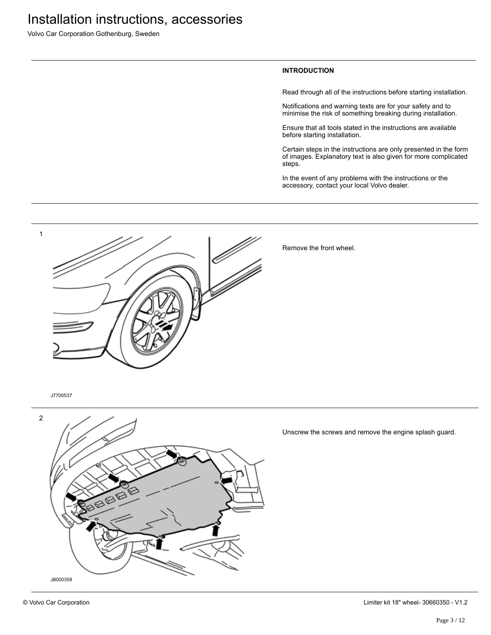Volvo Car Corporation Gothenburg, Sweden

#### **INTRODUCTION**

Read through all of the instructions before starting installation.

Notifications and warning texts are for your safety and to minimise the risk of something breaking during installation.

Ensure that all tools stated in the instructions are available before starting installation.

Certain steps in the instructions are only presented in the form of images. Explanatory text is also given for more complicated steps.

In the event of any problems with the instructions or the accessory, contact your local Volvo dealer.



Remove the front wheel.

J7700537



Unscrew the screws and remove the engine splash guard.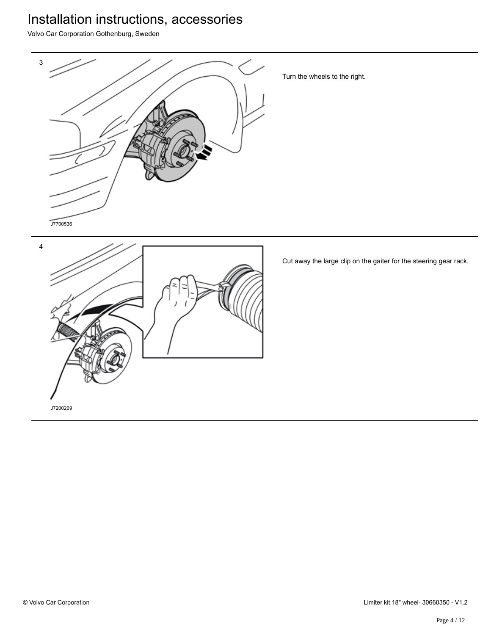Volvo Car Corporation Gothenburg, Sweden



Turn the wheels to the right.



Cut away the large clip on the gaiter for the steering gear rack.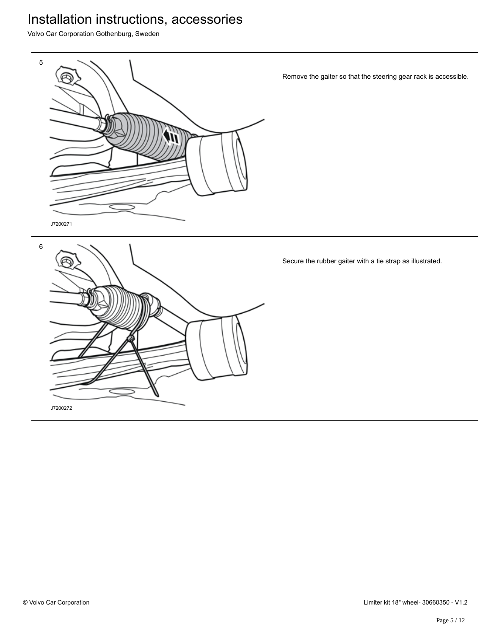Volvo Car Corporation Gothenburg, Sweden



Remove the gaiter so that the steering gear rack is accessible.



Secure the rubber gaiter with a tie strap as illustrated.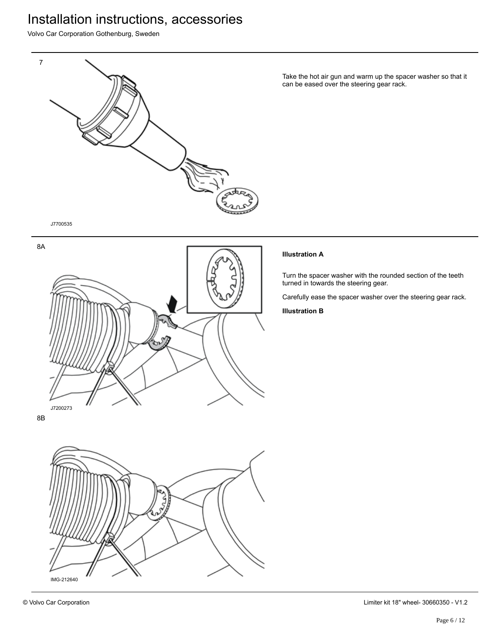Volvo Car Corporation Gothenburg, Sweden



Take the hot air gun and warm up the spacer washer so that it can be eased over the steering gear rack.



#### **Illustration A**

Turn the spacer washer with the rounded section of the teeth turned in towards the steering gear.

Carefully ease the spacer washer over the steering gear rack.

**Illustration B**

8B

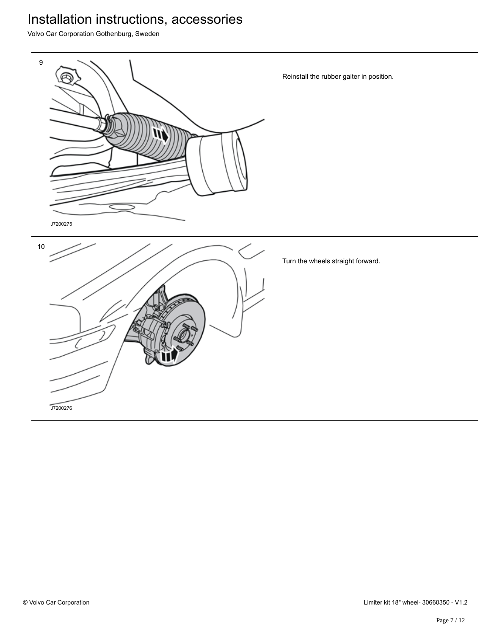Volvo Car Corporation Gothenburg, Sweden

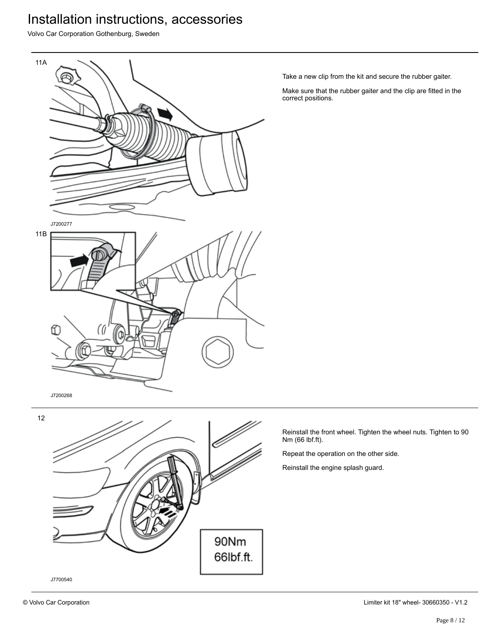Volvo Car Corporation Gothenburg, Sweden



Take a new clip from the kit and secure the rubber gaiter.

Make sure that the rubber gaiter and the clip are fitted in the correct positions.

J7200268

ſ



α

Reinstall the front wheel. Tighten the wheel nuts. Tighten to 90 Nm (66 lbf.ft).

Repeat the operation on the other side.

Reinstall the engine splash guard.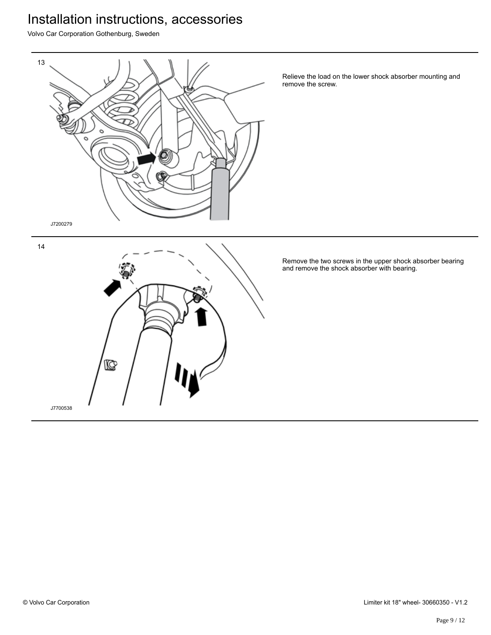Volvo Car Corporation Gothenburg, Sweden



Relieve the load on the lower shock absorber mounting and remove the screw.

Remove the two screws in the upper shock absorber bearing and remove the shock absorber with bearing.

14

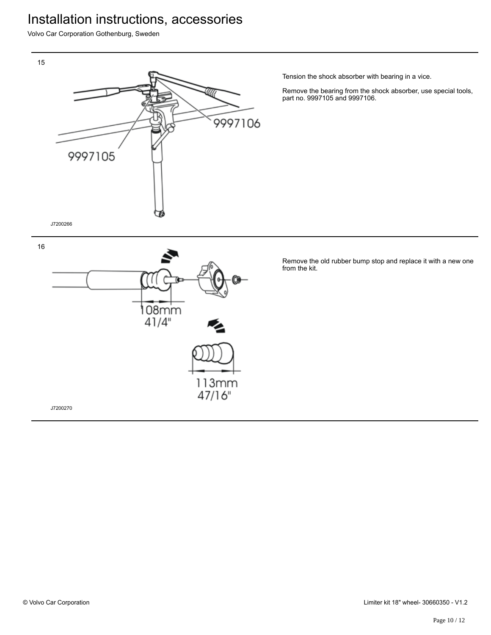Volvo Car Corporation Gothenburg, Sweden



Tension the shock absorber with bearing in a vice.

Remove the bearing from the shock absorber, use special tools, part no. 9997105 and 9997106.





J7200270

16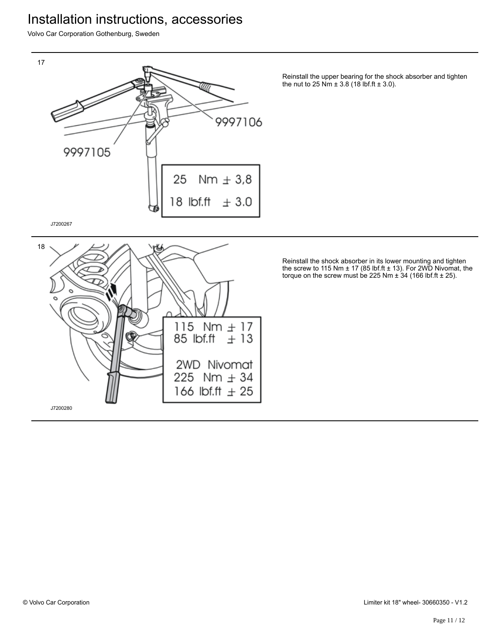Volvo Car Corporation Gothenburg, Sweden



115  $Nm \pm 17$ 

2WD Nivomat 225 Nm  $\pm$  34 166 lbf.ft  $\pm 25$ 

85 lbf.ft

 $\pm$  13

Reinstall the upper bearing for the shock absorber and tighten the nut to 25 Nm  $\pm$  3.8 (18 lbf.ft  $\pm$  3.0).

Reinstall the shock absorber in its lower mounting and tighten the screw to 115 Nm  $\pm$  17 (85 lbf.ft  $\pm$  13). For 2WD Nivomat, the torque on the screw must be 225 Nm  $\pm$  34 (166 lbf.ft  $\pm$  25).



J7200280